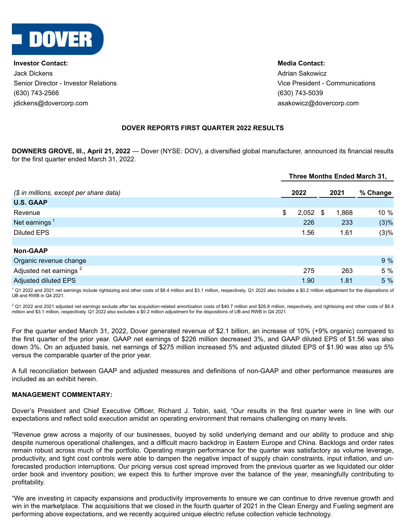

**Investor Contact: Media Contact:** Jack Dickens Adrian Sakowicz Senior Director - Investor Relations Vice President - Communications (630) 743-2566 (630) 743-5039 jdickens@dovercorp.com asakowicz@dovercorp.com

## **DOVER REPORTS FIRST QUARTER 2022 RESULTS**

**DOWNERS GROVE, Ill., April 21, 2022** — Dover (NYSE: DOV), a diversified global manufacturer, announced its financial results for the first quarter ended March 31, 2022.

| Three Months Ended March 31, |      |      |            |          |  |  |
|------------------------------|------|------|------------|----------|--|--|
|                              |      |      | 2021       | % Change |  |  |
|                              |      |      |            |          |  |  |
| \$                           |      |      | 1,868      | $10 \%$  |  |  |
|                              | 226  |      | 233        | (3)%     |  |  |
|                              | 1.56 |      | 1.61       | (3)%     |  |  |
|                              |      |      |            |          |  |  |
|                              |      |      |            |          |  |  |
|                              |      |      |            | 9%       |  |  |
|                              | 275  |      | 263        | 5 %      |  |  |
|                              | 1.90 |      | 1.81       | 5 %      |  |  |
|                              |      | 2022 | $2,052$ \$ |          |  |  |

<sup>1</sup> Q1 2022 and 2021 net earnings include rightsizing and other costs of \$8.4 million and \$3.1 million, respectively. Q1 2022 also includes a \$0.2 million adjustment for the dispositions of UB and RWB in Q4 2021.

 $2$  Q1 2022 and 2021 adjusted net earnings exclude after tax acquisition-related amortization costs of \$40.7 million and \$26.8 million, respectively, and rightsizing and other costs of \$8.4 million and \$3.1 million, respectively. Q1 2022 also excludes a \$0.2 million adjustment for the dispositions of UB and RWB in Q4 2021.

For the quarter ended March 31, 2022, Dover generated revenue of \$2.1 billion, an increase of 10% (+9% organic) compared to the first quarter of the prior year. GAAP net earnings of \$226 million decreased 3%, and GAAP diluted EPS of \$1.56 was also down 3%. On an adjusted basis, net earnings of \$275 million increased 5% and adjusted diluted EPS of \$1.90 was also up 5% versus the comparable quarter of the prior year.

A full reconciliation between GAAP and adjusted measures and definitions of non-GAAP and other performance measures are included as an exhibit herein.

#### **MANAGEMENT COMMENTARY:**

Dover's President and Chief Executive Officer, Richard J. Tobin, said, "Our results in the first quarter were in line with our expectations and reflect solid execution amidst an operating environment that remains challenging on many levels.

"Revenue grew across a majority of our businesses, buoyed by solid underlying demand and our ability to produce and ship despite numerous operational challenges, and a difficult macro backdrop in Eastern Europe and China. Backlogs and order rates remain robust across much of the portfolio. Operating margin performance for the quarter was satisfactory as volume leverage, productivity, and tight cost controls were able to dampen the negative impact of supply chain constraints, input inflation, and unforecasted production interruptions. Our pricing versus cost spread improved from the previous quarter as we liquidated our older order book and inventory position; we expect this to further improve over the balance of the year, meaningfully contributing to profitability.

"We are investing in capacity expansions and productivity improvements to ensure we can continue to drive revenue growth and win in the marketplace. The acquisitions that we closed in the fourth quarter of 2021 in the Clean Energy and Fueling segment are performing above expectations, and we recently acquired unique electric refuse collection vehicle technology.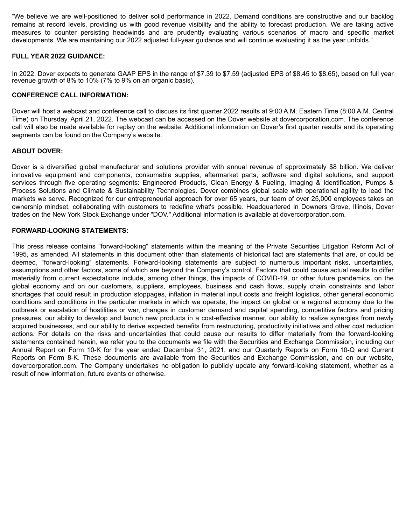"We believe we are well-positioned to deliver solid performance in 2022. Demand conditions are constructive and our backlog remains at record levels, providing us with good revenue visibility and the ability to forecast production. We are taking active measures to counter persisting headwinds and are prudently evaluating various scenarios of macro and specific market developments. We are maintaining our 2022 adjusted full-year guidance and will continue evaluating it as the year unfolds."

## **FULL YEAR 2022 GUIDANCE:**

In 2022, Dover expects to generate GAAP EPS in the range of \$7.39 to \$7.59 (adjusted EPS of \$8.45 to \$8.65), based on full year revenue growth of 8% to 10% (7% to 9% on an organic basis).

## **CONFERENCE CALL INFORMATION:**

Dover will host a webcast and conference call to discuss its first quarter 2022 results at 9:00 A.M. Eastern Time (8:00 A.M. Central Time) on Thursday, April 21, 2022. The webcast can be accessed on the Dover website at dovercorporation.com. The conference call will also be made available for replay on the website. Additional information on Dover's first quarter results and its operating segments can be found on the Company's website.

## **ABOUT DOVER:**

Dover is a diversified global manufacturer and solutions provider with annual revenue of approximately \$8 billion. We deliver innovative equipment and components, consumable supplies, aftermarket parts, software and digital solutions, and support services through five operating segments: Engineered Products, Clean Energy & Fueling, Imaging & Identification, Pumps & Process Solutions and Climate & Sustainability Technologies. Dover combines global scale with operational agility to lead the markets we serve. Recognized for our entrepreneurial approach for over 65 years, our team of over 25,000 employees takes an ownership mindset, collaborating with customers to redefine what's possible. Headquartered in Downers Grove, Illinois, Dover trades on the New York Stock Exchange under "DOV." Additional information is available at dovercorporation.com.

## **FORWARD-LOOKING STATEMENTS:**

This press release contains "forward-looking" statements within the meaning of the Private Securities Litigation Reform Act of 1995, as amended. All statements in this document other than statements of historical fact are statements that are, or could be deemed, "forward-looking" statements. Forward-looking statements are subject to numerous important risks, uncertainties, assumptions and other factors, some of which are beyond the Company's control. Factors that could cause actual results to differ materially from current expectations include, among other things, the impacts of COVID-19, or other future pandemics, on the global economy and on our customers, suppliers, employees, business and cash flows, supply chain constraints and labor shortages that could result in production stoppages, inflation in material input costs and freight logistics, other general economic conditions and conditions in the particular markets in which we operate, the impact on global or a regional economy due to the outbreak or escalation of hostilities or war, changes in customer demand and capital spending, competitive factors and pricing pressures, our ability to develop and launch new products in a cost-effective manner, our ability to realize synergies from newly acquired businesses, and our ability to derive expected benefits from restructuring, productivity initiatives and other cost reduction actions. For details on the risks and uncertainties that could cause our results to differ materially from the forward-looking statements contained herein, we refer you to the documents we file with the Securities and Exchange Commission, including our Annual Report on Form 10-K for the year ended December 31, 2021, and our Quarterly Reports on Form 10-Q and Current Reports on Form 8-K. These documents are available from the Securities and Exchange Commission, and on our website, dovercorporation.com. The Company undertakes no obligation to publicly update any forward-looking statement, whether as a result of new information, future events or otherwise.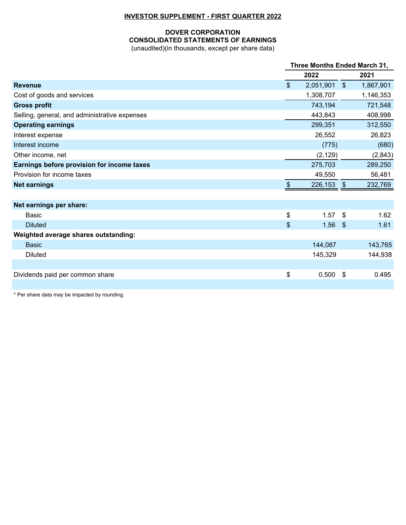## **INVESTOR SUPPLEMENT - FIRST QUARTER 2022**

## **DOVER CORPORATION CONSOLIDATED STATEMENTS OF EARNINGS** (unaudited)(in thousands, except per share data)

|                                               |              | Three Months Ended March 31, |                         |           |  |  |
|-----------------------------------------------|--------------|------------------------------|-------------------------|-----------|--|--|
|                                               |              | 2022                         |                         | 2021      |  |  |
| <b>Revenue</b>                                | $\mathbb{S}$ | 2,051,901                    | $\sqrt[6]{\frac{1}{2}}$ | 1,867,901 |  |  |
| Cost of goods and services                    |              | 1,308,707                    |                         | 1,146,353 |  |  |
| <b>Gross profit</b>                           |              | 743,194                      |                         | 721,548   |  |  |
| Selling, general, and administrative expenses |              | 443,843                      |                         | 408,998   |  |  |
| <b>Operating earnings</b>                     |              | 299,351                      |                         | 312,550   |  |  |
| Interest expense                              |              | 26,552                       |                         | 26,823    |  |  |
| Interest income                               |              | (775)                        |                         | (680)     |  |  |
| Other income, net                             |              | (2, 129)                     |                         | (2,843)   |  |  |
| Earnings before provision for income taxes    |              | 275,703                      |                         | 289,250   |  |  |
| Provision for income taxes                    |              | 49,550                       |                         | 56,481    |  |  |
| <b>Net earnings</b>                           | $\$\$        | 226,153                      | $\sqrt[6]{3}$           | 232,769   |  |  |
|                                               |              |                              |                         |           |  |  |
| Net earnings per share:                       |              |                              |                         |           |  |  |
| <b>Basic</b>                                  | \$           | 1.57                         | -\$                     | 1.62      |  |  |
| <b>Diluted</b>                                | \$           | 1.56                         | $\sqrt[6]{3}$           | 1.61      |  |  |
| Weighted average shares outstanding:          |              |                              |                         |           |  |  |
| <b>Basic</b>                                  |              | 144,087                      |                         | 143,765   |  |  |
| <b>Diluted</b>                                |              | 145,329                      |                         | 144,938   |  |  |
|                                               |              |                              |                         |           |  |  |
| Dividends paid per common share               | \$           | 0.500                        | \$                      | 0.495     |  |  |
|                                               |              |                              |                         |           |  |  |

\* Per share data may be impacted by rounding.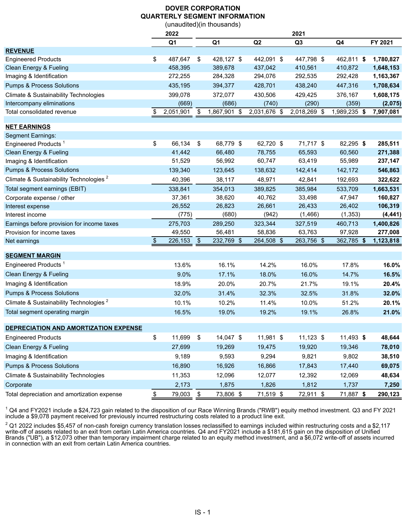# **DOVER CORPORATION QUARTERLY SEGMENT INFORMATION**

|                                                    |               |                |               | (unaudited)(in thousands) |              |                |                |           |
|----------------------------------------------------|---------------|----------------|---------------|---------------------------|--------------|----------------|----------------|-----------|
|                                                    |               | 2022           |               |                           |              | 2021           |                |           |
|                                                    |               | Q <sub>1</sub> |               | Q <sub>1</sub>            | Q2           | Q <sub>3</sub> | Q <sub>4</sub> | FY 2021   |
| <b>REVENUE</b>                                     |               |                |               |                           |              |                |                |           |
| <b>Engineered Products</b>                         | \$            | 487,647        | \$            | 428,127 \$                | 442,091 \$   | 447,798 \$     | 462,811 \$     | 1,780,827 |
| Clean Energy & Fueling                             |               | 458,395        |               | 389,678                   | 437,042      | 410,561        | 410,872        | 1,648,153 |
| Imaging & Identification                           |               | 272,255        |               | 284,328                   | 294,076      | 292,535        | 292,428        | 1,163,367 |
| <b>Pumps &amp; Process Solutions</b>               |               | 435,195        |               | 394,377                   | 428,701      | 438,240        | 447,316        | 1,708,634 |
| Climate & Sustainability Technologies              |               | 399,078        |               | 372,077                   | 430,506      | 429,425        | 376,167        | 1,608,175 |
| Intercompany eliminations                          |               | (669)          |               | (686)                     | (740)        | (290)          | (359)          | (2,075)   |
| Total consolidated revenue                         | \$            | 2,051,901      | \$            | 1,867,901 \$              | 2,031,676 \$ | 2,018,269 \$   | 1,989,235 \$   | 7,907,081 |
| <b>NET EARNINGS</b>                                |               |                |               |                           |              |                |                |           |
| Segment Earnings:                                  |               |                |               |                           |              |                |                |           |
| Engineered Products <sup>1</sup>                   | \$            | 66,134         | \$            | 68,779 \$                 | 62,720 \$    | 71,717 \$      | 82,295 \$      | 285,511   |
| Clean Energy & Fueling                             |               | 41,442         |               | 66,480                    | 78,755       | 65,593         | 60,560         | 271,388   |
| Imaging & Identification                           |               | 51,529         |               | 56,992                    | 60,747       | 63,419         | 55,989         | 237,147   |
| <b>Pumps &amp; Process Solutions</b>               |               | 139,340        |               | 123,645                   | 138,632      | 142,414        | 142,172        | 546,863   |
| Climate & Sustainability Technologies <sup>2</sup> |               | 40,396         |               | 38,117                    | 48,971       | 42,841         | 192,693        | 322,622   |
| Total segment earnings (EBIT)                      |               | 338,841        |               | 354,013                   | 389,825      | 385,984        | 533,709        | 1,663,531 |
| Corporate expense / other                          |               | 37,361         |               | 38,620                    | 40,762       | 33,498         | 47,947         | 160,827   |
| Interest expense                                   |               | 26,552         |               | 26,823                    | 26,661       | 26,433         | 26,402         | 106,319   |
| Interest income                                    |               | (775)          |               | (680)                     | (942)        | (1, 466)       | (1, 353)       | (4, 441)  |
| Earnings before provision for income taxes         |               | 275,703        |               | 289,250                   | 323,344      | 327,519        | 460,713        | 1,400,826 |
| Provision for income taxes                         |               | 49,550         |               | 56,481                    | 58,836       | 63,763         | 97,928         | 277,008   |
| Net earnings                                       | \$            | 226,153        | $\sqrt[6]{3}$ | 232,769 \$                | 264,508 \$   | 263,756 \$     | 362,785 \$     | 1,123,818 |
| <u>SEGMENT MARGIN</u>                              |               |                |               |                           |              |                |                |           |
| Engineered Products <sup>1</sup>                   |               | 13.6%          |               | 16.1%                     | 14.2%        | 16.0%          | 17.8%          | 16.0%     |
| Clean Energy & Fueling                             |               | 9.0%           |               | 17.1%                     | 18.0%        | 16.0%          | 14.7%          | 16.5%     |
| Imaging & Identification                           |               | 18.9%          |               | 20.0%                     | 20.7%        | 21.7%          | 19.1%          | 20.4%     |
| <b>Pumps &amp; Process Solutions</b>               |               | 32.0%          |               | 31.4%                     | 32.3%        | 32.5%          | 31.8%          | 32.0%     |
| Climate & Sustainability Technologies <sup>2</sup> |               | 10.1%          |               | 10.2%                     | 11.4%        | 10.0%          | 51.2%          | 20.1%     |
| Total segment operating margin                     |               | 16.5%          |               | 19.0%                     | 19.2%        | 19.1%          | 26.8%          | 21.0%     |
| DEPRECIATION AND AMORTIZATION EXPENSE              |               |                |               |                           |              |                |                |           |
| <b>Engineered Products</b>                         | \$            | 11,699         | \$            | 14,047 \$                 | 11,981 \$    | $11,123$ \$    | 11,493 \$      | 48,644    |
| Clean Energy & Fueling                             |               | 27,699         |               | 19,269                    | 19,475       | 19,920         | 19,346         | 78,010    |
| Imaging & Identification                           |               | 9,189          |               | 9,593                     |              |                | 9,802          | 38,510    |
|                                                    |               |                |               |                           | 9,294        | 9,821          |                |           |
| <b>Pumps &amp; Process Solutions</b>               |               | 16,890         |               | 16,926                    | 16,866       | 17,843         | 17,440         | 69,075    |
| Climate & Sustainability Technologies              |               | 11,353         |               | 12,096                    | 12,077       | 12,392         | 12,069         | 48,634    |
| Corporate                                          |               | 2,173          |               | 1,875                     | 1,826        | 1,812          | 1,737          | 7,250     |
| Total depreciation and amortization expense        | $\frac{1}{2}$ | 79,003         | $\frac{1}{2}$ | 73,806 \$                 | 71,519 \$    | 72,911 \$      | 71,887 \$      | 290,123   |

 $1$  Q4 and FY2021 include a \$24,723 gain related to the disposition of our Race Winning Brands ("RWB") equity method investment. Q3 and FY 2021 include a \$9,078 payment received for previously incurred restructuring costs related to a product line exit.

 $^2$  Q1 2022 includes \$5,457 of non-cash foreign currency translation losses reclassified to earnings included within restructuring costs and a \$2,117 write-off of assets related to an exit from certain Latin America countries. Q4 and FY2021 include a \$181,615 gain on the disposition of Unified Brands ("UB"), a \$12,073 other than temporary impairment charge related to an equity method investment, and a \$6,072 write-off of assets incurred in connection with an exit from certain Latin America countries.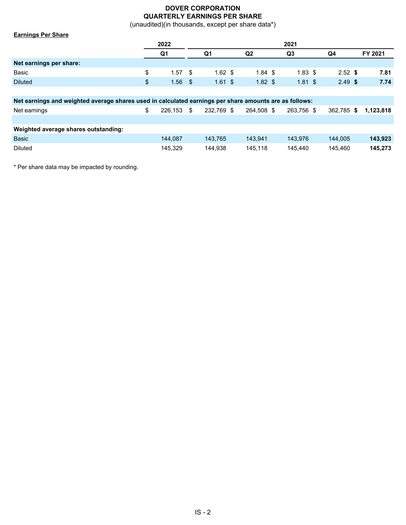# **DOVER CORPORATION QUARTERLY EARNINGS PER SHARE**

(unaudited)(in thousands, except per share data\*)

| <b>Earnings Per Share</b> |                 |      |           |                   |                    |           |         |
|---------------------------|-----------------|------|-----------|-------------------|--------------------|-----------|---------|
|                           | 2022            |      |           |                   | 2021               |           |         |
|                           | Q <sub>1</sub>  |      | Q1        | Q <sub>2</sub>    | Q <sub>3</sub>     | Q4        | FY 2021 |
| Net earnings per share:   |                 |      |           |                   |                    |           |         |
| Basic                     | \$<br>$1.57$ \$ |      | $1.62$ \$ | $1.84 \text{ } $$ | $1.83$ \$          | $2.52$ \$ | 7.81    |
| <b>Diluted</b>            | \$<br>1.56      | - \$ | $1.61$ \$ | $1.82$ \$         | $1.81 \text{ }$ \$ | $2.49$ \$ | 7.74    |
|                           |                 |      |           |                   |                    |           |         |

| Net earnings and weighted average shares used in calculated earnings per share amounts are as follows: |   |              |  |            |            |            |                 |           |  |  |  |
|--------------------------------------------------------------------------------------------------------|---|--------------|--|------------|------------|------------|-----------------|-----------|--|--|--|
| Net earnings                                                                                           | S | $226.153$ \$ |  | 232.769 \$ | 264.508 \$ | 263.756 \$ | 362.785<br>- \$ | 1.123.818 |  |  |  |
|                                                                                                        |   |              |  |            |            |            |                 |           |  |  |  |
| Weighted average shares outstanding:                                                                   |   |              |  |            |            |            |                 |           |  |  |  |
| <b>Basic</b>                                                                                           |   | 144.087      |  | 143.765    | 143.941    | 143.976    | 144.005         | 143.923   |  |  |  |
| <b>Diluted</b>                                                                                         |   | 145.329      |  | 144.938    | 145.118    | 145.440    | 145.460         | 145.273   |  |  |  |

\* Per share data may be impacted by rounding.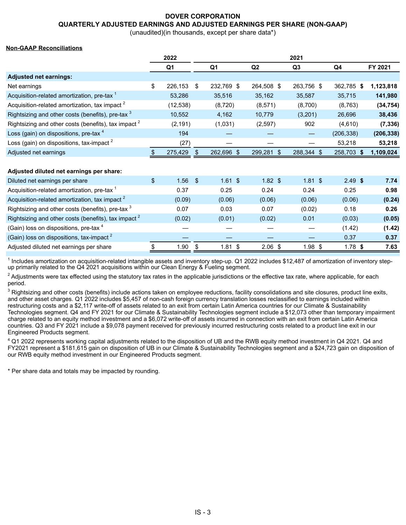## **DOVER CORPORATION QUARTERLY ADJUSTED EARNINGS AND ADJUSTED EARNINGS PER SHARE (NON-GAAP)**

(unaudited)(in thousands, except per share data\*)

#### **Non-GAAP Reconciliations**

|                                                              |               | 2022      | 2021 |            |                |            |            |            |
|--------------------------------------------------------------|---------------|-----------|------|------------|----------------|------------|------------|------------|
|                                                              |               | Q1        |      | Q1         | Q <sub>2</sub> | Q3         | Q4         | FY 2021    |
| <b>Adjusted net earnings:</b>                                |               |           |      |            |                |            |            |            |
| Net earnings                                                 | \$            | 226,153   | -\$  | 232,769 \$ | 264,508 \$     | 263,756 \$ | 362,785 \$ | 1,123,818  |
| Acquisition-related amortization, pre-tax <sup>1</sup>       |               | 53,286    |      | 35,516     | 35,162         | 35,587     | 35,715     | 141,980    |
| Acquisition-related amortization, tax impact <sup>2</sup>    |               | (12, 538) |      | (8,720)    | (8,571)        | (8,700)    | (8, 763)   | (34, 754)  |
| Rightsizing and other costs (benefits), pre-tax <sup>3</sup> |               | 10,552    |      | 4,162      | 10,779         | (3,201)    | 26,696     | 38,436     |
| Rightsizing and other costs (benefits), tax impact $2$       |               | (2, 191)  |      | (1,031)    | (2, 597)       | 902        | (4,610)    | (7, 336)   |
| Loss (gain) on dispositions, pre-tax 4                       |               | 194       |      |            |                |            | (206, 338) | (206, 338) |
| Loss (gain) on dispositions, tax-impact $2$                  |               | (27)      |      |            |                |            | 53,218     | 53,218     |
| Adjusted net earnings                                        |               | 275,429   |      | 262,696 \$ | 299,281 \$     | 288,344 \$ | 258,703 \$ | 1,109,024  |
|                                                              |               |           |      |            |                |            |            |            |
| Adjusted diluted net earnings per share:                     |               |           |      |            |                |            |            |            |
| Diluted net earnings per share                               | $\frac{1}{2}$ | 1.56      | \$   | $1.61$ \$  | $1.82$ \$      | $1.81$ \$  | $2.49$ \$  | 7.74       |
|                                                              |               |           |      |            |                |            |            |            |

| <b>Dilatou Hot carrillige por share</b>                         | ש שטו  | ש ו ש   | ש שטו     | ש ויטו    | $\sim$ $\sim$ | .      |
|-----------------------------------------------------------------|--------|---------|-----------|-----------|---------------|--------|
| Acquisition-related amortization, pre-tax <sup>1</sup>          | 0.37   | 0.25    | 0.24      | 0.24      | 0.25          | 0.98   |
| Acquisition-related amortization, tax impact <sup>2</sup>       | (0.09) | (0.06)  | (0.06)    | (0.06)    | (0.06)        | (0.24) |
| Rightsizing and other costs (benefits), pre-tax <sup>3</sup>    | 0.07   | 0.03    | 0.07      | (0.02)    | 0.18          | 0.26   |
| Rightsizing and other costs (benefits), tax impact <sup>2</sup> | (0.02) | (0.01)  | (0.02)    | 0.01      | (0.03)        | (0.05) |
| (Gain) loss on dispositions, pre-tax 4                          |        |         |           |           | (1.42)        | (1.42) |
| (Gain) loss on dispositions, tax-impact $^2$                    |        |         |           |           | 0.37          | 0.37   |
| Adjusted diluted net earnings per share                         | .90    | 1.81 \$ | $2.06$ \$ | $1.98$ \$ | 1.78 \$       | 7.63   |

<sup>1</sup> Includes amortization on acquisition-related intangible assets and inventory step-up. Q1 2022 includes \$12,487 of amortization of inventory stepup primarily related to the Q4 2021 acquisitions within our Clean Energy & Fueling segment.

 $^2$  Adjustments were tax effected using the statutory tax rates in the applicable jurisdictions or the effective tax rate, where applicable, for each period.

 $3$  Rightsizing and other costs (benefits) include actions taken on employee reductions, facility consolidations and site closures, product line exits, and other asset charges. Q1 2022 includes \$5,457 of non-cash foreign currency translation losses reclassified to earnings included within restructuring costs and a \$2,117 write-off of assets related to an exit from certain Latin America countries for our Climate & Sustainability Technologies segment. Q4 and FY 2021 for our Climate & Sustainability Technologies segment include a \$12,073 other than temporary impairment charge related to an equity method investment and a \$6,072 write-off of assets incurred in connection with an exit from certain Latin America countries. Q3 and FY 2021 include a \$9,078 payment received for previously incurred restructuring costs related to a product line exit in our Engineered Products segment.

 $4$  Q1 2022 represents working capital adjustments related to the disposition of UB and the RWB equity method investment in Q4 2021. Q4 and FY2021 represent a \$181,615 gain on disposition of UB in our Climate & Sustainability Technologies segment and a \$24,723 gain on disposition of our RWB equity method investment in our Engineered Products segment.

\* Per share data and totals may be impacted by rounding.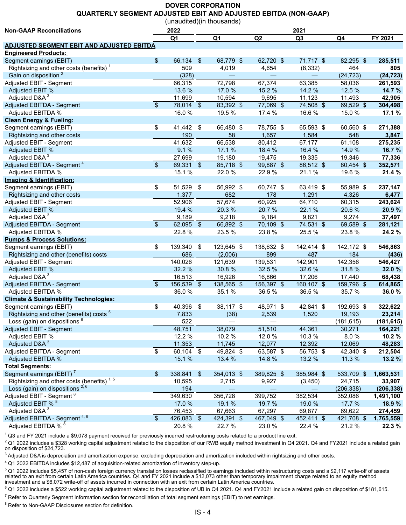# **DOVER CORPORATION QUARTERLY SEGMENT ADJUSTED EBIT AND ADJUSTED EBITDA (NON-GAAP)**

(unaudited)(in thousands)

| <b>Non-GAAP Reconciliations</b>                       | 2022<br>2021             |                |      |            |                |                |            |            |  |  |
|-------------------------------------------------------|--------------------------|----------------|------|------------|----------------|----------------|------------|------------|--|--|
|                                                       |                          | Q <sub>1</sub> |      | Q1         | Q <sub>2</sub> | Q <sub>3</sub> | Q4         |            |  |  |
| <b>ADJUSTED SEGMENT EBIT AND ADJUSTED EBITDA</b>      |                          |                |      |            |                |                |            |            |  |  |
| <b>Engineered Products:</b>                           |                          |                |      |            |                |                |            |            |  |  |
| Segment earnings (EBIT)                               | \$                       | 66,134 \$      |      | 68,779 \$  | 62,720 \$      | 71,717 \$      | 82,295 \$  | 285,511    |  |  |
| Rightsizing and other costs (benefits) $1$            |                          | 509            |      | 4,019      | 4,654          | (8, 332)       | 464        | 805        |  |  |
| Gain on disposition <sup>2</sup>                      |                          | (328)          |      |            |                |                | (24, 723)  | (24, 723)  |  |  |
| Adjusted EBIT - Segment                               |                          | 66,315         |      | 72,798     | 67,374         | 63,385         | 58,036     | 261,593    |  |  |
| Adjusted EBIT %                                       |                          | 13.6 %         |      | 17.0 %     | 15.2 %         | 14.2 %         | 12.5 %     | 14.7 %     |  |  |
| Adjusted D&A <sup>3</sup>                             |                          | 11,699         |      | 10,594     | 9,695          | 11,123         | 11,493     | 42,905     |  |  |
| Adjusted EBITDA - Segment                             | $\overline{\$}$          | $78,014$ \$    |      | 83,392 \$  | 77,069 \$      | 74,508 \$      | 69,529 \$  | 304,498    |  |  |
| Adjusted EBITDA %                                     |                          | 16.0%          |      | 19.5 %     | 17.4 %         | 16.6%          | 15.0%      | 17.1 %     |  |  |
| <b>Clean Energy &amp; Fueling:</b>                    |                          |                |      |            |                |                |            |            |  |  |
| Segment earnings (EBIT)                               | \$                       | 41,442 \$      |      | 66,480 \$  | 78,755 \$      | 65,593 \$      | 60,560 \$  | 271,388    |  |  |
| Rightsizing and other costs                           |                          | 190            |      | 58         | 1,657          | 1,584          | 548        | 3,847      |  |  |
| Adjusted EBIT - Segment                               |                          | 41,632         |      | 66,538     | 80,412         | 67,177         | 61,108     | 275,235    |  |  |
| Adjusted EBIT %                                       |                          | 9.1%           |      | 17.1 %     | 18.4 %         | 16.4 %         | 14.9 %     | 16.7 %     |  |  |
| Adjusted D&A <sup>3</sup>                             |                          | 27,699         |      | 19,180     | 19,475         | 19,335         | 19,346     | 77,336     |  |  |
| Adjusted EBITDA - Segment <sup>4</sup>                | $\overline{\mathcal{S}}$ | $69,331$ \$    |      | 85,718 \$  | $99,887$ \$    | 86,512 \$      | 80,454 \$  | 352,571    |  |  |
| Adjusted EBITDA %                                     |                          | 15.1 %         |      | 22.0%      | 22.9%          | 21.1%          | 19.6 %     | 21.4 %     |  |  |
| Imaging & Identification:                             |                          |                |      |            |                |                |            |            |  |  |
| Segment earnings (EBIT)                               | \$                       | 51,529         | - \$ | 56,992 \$  | 60,747 \$      | 63,419 \$      | 55,989 \$  | 237,147    |  |  |
| Rightsizing and other costs                           |                          | 1,377          |      | 682        | 178            | 1,291          | 4,326      | 6,477      |  |  |
| Adjusted EBIT - Segment                               |                          | 52,906         |      | 57,674     | 60,925         | 64,710         | 60,315     | 243,624    |  |  |
| Adjusted EBIT %                                       |                          | 19.4 %         |      | 20.3%      | 20.7%          | 22.1 %         | 20.6%      | 20.9%      |  |  |
| Adjusted D&A <sup>3</sup>                             |                          | 9,189          |      | 9,218      | 9,184          | 9,821          | 9,274      | 37,497     |  |  |
| Adjusted EBITDA - Segment                             | $\overline{\$}$          | 62,095 \$      |      | 66,892 \$  | 70,109 \$      | 74,531 \$      | 69,589 \$  | 281,121    |  |  |
| Adjusted EBITDA %                                     |                          | 22.8%          |      | 23.5 %     | 23.8%          | 25.5 %         | 23.8%      | 24.2 %     |  |  |
| <b>Pumps &amp; Process Solutions:</b>                 |                          |                |      |            |                |                |            |            |  |  |
| Segment earnings (EBIT)                               | \$                       | 139,340 \$     |      | 123,645 \$ | 138,632 \$     | 142,414 \$     | 142,172 \$ | 546,863    |  |  |
| Rightsizing and other (benefits) costs                |                          | 686            |      | (2,006)    | 899            | 487            | 184        | (436)      |  |  |
| Adjusted EBIT - Segment                               |                          | 140,026        |      | 121,639    | 139,531        | 142,901        | 142,356    | 546,427    |  |  |
| Adjusted EBIT %                                       |                          | 32.2 %         |      | 30.8%      | 32.5 %         | 32.6 %         | 31.8%      | 32.0 %     |  |  |
| Adjusted D&A <sup>3</sup>                             |                          | 16,513         |      | 16,926     | 16,866         | 17,206         | 17,440     | 68,438     |  |  |
| Adjusted EBITDA - Segment                             | $\mathbb{S}$             | 156,539 \$     |      | 138,565 \$ | 156,397 \$     | 160,107 \$     | 159,796 \$ | 614,865    |  |  |
| Adjusted EBITDA %                                     |                          | 36.0%          |      | 35.1 %     | 36.5%          | 36.5%          | 35.7 %     | 36.0%      |  |  |
| <b>Climate &amp; Sustainability Technologies:</b>     |                          |                |      |            |                |                |            |            |  |  |
| Segment earnings (EBIT)                               | \$                       | 40,396 \$      |      | 38,117 \$  | 48,971 \$      | 42,841 \$      | 192,693 \$ | 322,622    |  |  |
| Rightsizing and other (benefits) costs <sup>5</sup>   |                          | 7,833          |      | (38)       | 2,539          | 1,520          | 19,193     | 23,214     |  |  |
| Loss (gain) on dispositions <sup>6</sup>              |                          | 522            |      | —          |                |                | (181, 615) | (181, 615) |  |  |
| Adjusted EBIT - Segment                               |                          | 48,751         |      | 38,079     | 51,510         | 44,361         | 30,271     | 164,221    |  |  |
| Adjusted EBIT %                                       |                          | 12.2 %         |      | 10.2 %     | 12.0%          | 10.3 %         | 8.0%       | 10.2 %     |  |  |
| Adjusted D&A <sup>3</sup>                             |                          | 11,353         |      | 11,745     | 12,077         | 12,392         | 12,069     | 48,283     |  |  |
| Adjusted EBITDA - Segment                             | $\overline{\$}$          | $60,104$ \$    |      | 49,824 \$  | 63,587 \$      | 56,753 \$      | 42,340 \$  | 212,504    |  |  |
| Adjusted EBITDA %                                     |                          | 15.1 %         |      | 13.4 %     | 14.8 %         | 13.2 %         | 11.3 %     | 13.2 %     |  |  |
| <b>Total Segments:</b>                                |                          |                |      |            |                |                |            |            |  |  |
| Segment earnings (EBIT) <sup>7</sup>                  | \$                       | 338,841 \$     |      | 354,013 \$ | 389,825 \$     | 385,984 \$     | 533,709 \$ | 1,663,531  |  |  |
| Rightsizing and other costs (benefits) <sup>1,5</sup> |                          | 10,595         |      | 2,715      | 9,927          | (3, 450)       | 24,715     | 33,907     |  |  |
| Loss (gain) on dispositions <sup>2,6</sup>            |                          | 194            |      |            |                |                | (206, 338) | (206, 338) |  |  |
| Adjusted EBIT - Segment <sup>8</sup>                  |                          | 349,630        |      | 356,728    | 399,752        | 382,534        | 352,086    | 1,491,100  |  |  |
| Adjusted EBIT % 8                                     |                          | 17.0 %         |      | 19.1 %     | 19.7 %         | 19.0 %         | 17.7 %     | 18.9 %     |  |  |
| Adjusted D&A <sup>3</sup>                             |                          | 76,453         |      | 67,663     | 67,297         | 69,877         | 69,622     | 274,459    |  |  |
| Adjusted EBITDA - Segment <sup>4, 8</sup>             | $\frac{1}{2}$            | 426,083 \$     |      | 424,391 \$ | 467,049 \$     | 452,411 \$     | 421,708 \$ | 1,765,559  |  |  |
| Adjusted EBITDA % 8                                   |                          | 20.8%          |      | 22.7 %     | 23.0%          | 22.4 %         | 21.2 %     | 22.3 %     |  |  |

<sup>1</sup> Q3 and FY 2021 include a \$9,078 payment received for previously incurred restructuring costs related to a product line exit.

 $^2$  Q1 2022 includes a \$328 working capital adjustment related to the disposition of our RWB equity method investment in Q4 2021. Q4 and FY2021 include a related gain on disposition of \$24,723.

<sup>3</sup> Adjusted D&A is depreciation and amortization expense, excluding depreciation and amortization included within rightsizing and other costs.

 $4$  Q1 2022 EBITDA includes \$12,487 of acquisition-related amortization of inventory step-up.

 $5$  Q1 2022 includes \$5,457 of non-cash foreign currency translation losses reclassified to earnings included within restructuring costs and a \$2,117 write-off of assets related to an exit from certain Latin America countries. Q4 and FY 2021 include a \$12,073 other than temporary impairment charge related to an equity method investment and a \$6,072 write-off of assets incurred in connection with an exit from certain Latin America countries.

 $^6$  Q1 2022 includes a \$522 working capital adjustment related to the disposition of UB in Q4 2021. Q4 and FY2021 include a related gain on disposition of \$181,615.

<sup>7</sup> Refer to Quarterly Segment Information section for reconciliation of total segment earnings (EBIT) to net earnings.

<sup>8</sup> Refer to Non-GAAP Disclosures section for definition.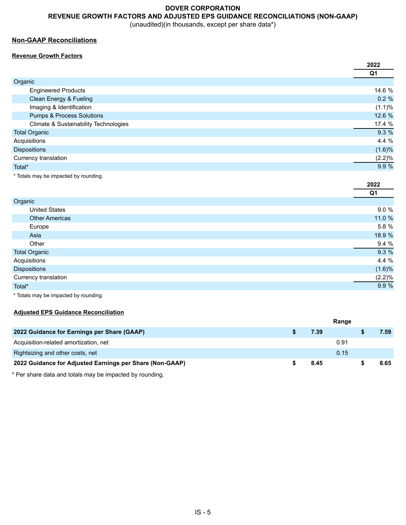# **DOVER CORPORATION REVENUE GROWTH FACTORS AND ADJUSTED EPS GUIDANCE RECONCILIATIONS (NON-GAAP)**

(unaudited)(in thousands, except per share data\*)

## **Non-GAAP Reconciliations**

## **Revenue Growth Factors**

|        |                                       | 2022           |
|--------|---------------------------------------|----------------|
|        |                                       | Q <sub>1</sub> |
|        | Organic                               |                |
|        | <b>Engineered Products</b>            | 14.6 %         |
|        | Clean Energy & Fueling                | 0.2%           |
|        | Imaging & Identification              | (1.1)%         |
|        | <b>Pumps &amp; Process Solutions</b>  | 12.6 %         |
|        | Climate & Sustainability Technologies | 17.4 %         |
|        | <b>Total Organic</b>                  | 9.3 %          |
|        | Acquisitions                          | 4.4 %          |
|        | <b>Dispositions</b>                   | (1.6)%         |
|        | Currency translation                  | (2.2)%         |
| Total* |                                       | 9.9 %          |
|        |                                       |                |

\* Totals may be impacted by rounding.

|                       | ZUZZ      |
|-----------------------|-----------|
|                       | Q1        |
| Organic               |           |
| <b>United States</b>  | 9.0 %     |
| <b>Other Americas</b> | 11.0 %    |
| Europe                | 5.8 %     |
| Asia                  | 18.9 %    |
| Other                 | 9.4 %     |
| <b>Total Organic</b>  | 9.3 %     |
| Acquisitions          | 4.4 %     |
| <b>Dispositions</b>   | $(1.6)\%$ |
| Currency translation  | (2.2)%    |
| Total*                | 9.9 %     |
|                       |           |

**2022**

\* Totals may be impacted by rounding.

## **Adjusted EPS Guidance Reconciliation**

|                                                          |      | Range |      |
|----------------------------------------------------------|------|-------|------|
| 2022 Guidance for Earnings per Share (GAAP)              | 7.39 |       | 7.59 |
| Acquisition-related amortization, net                    |      | 0.91  |      |
| Rightsizing and other costs, net                         |      | 0.15  |      |
| 2022 Guidance for Adjusted Earnings per Share (Non-GAAP) | 8.45 |       | 8.65 |

\* Per share data and totals may be impacted by rounding.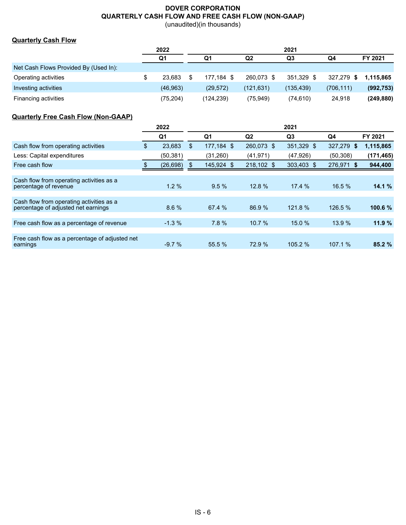# **DOVER CORPORATION QUARTERLY CASH FLOW AND FREE CASH FLOW (NON-GAAP)**

(unaudited)(in thousands)

# **Quarterly Cash Flow**

|                                       | 2022      |            |            | 2021       |            |            |
|---------------------------------------|-----------|------------|------------|------------|------------|------------|
|                                       | Q1        | Q1         | Q2         | Q3         | Q4         | FY 2021    |
| Net Cash Flows Provided By (Used In): |           |            |            |            |            |            |
| Operating activities                  | 23.683    | 177.184 \$ | 260.073 \$ | 351.329 \$ | 327.279 \$ | 1.115.865  |
| Investing activities                  | (46,963)  | (29, 572)  | (121, 631) | (135, 439) | (706, 111) | (992, 753) |
| Financing activities                  | (75, 204) | (124,239)  | (75, 949)  | (74,610)   | 24.918     | (249, 880) |

# **Quarterly Free Cash Flow (Non-GAAP)**

|                                                                                 | 2022 |                | 2021 |                |                |                |            |            |  |  |
|---------------------------------------------------------------------------------|------|----------------|------|----------------|----------------|----------------|------------|------------|--|--|
|                                                                                 |      | Q <sub>1</sub> |      | Q <sub>1</sub> | Q <sub>2</sub> | Q <sub>3</sub> | Q4         | FY 2021    |  |  |
| Cash flow from operating activities                                             | \$   | 23,683         | \$   | 177.184 \$     | 260,073 \$     | 351,329 \$     | 327,279 \$ | 1,115,865  |  |  |
| Less: Capital expenditures                                                      |      | (50, 381)      |      | (31,260)       | (41, 971)      | (47, 926)      | (50, 308)  | (171, 465) |  |  |
| Free cash flow                                                                  |      | (26, 698)      | S.   | 145,924 \$     | 218,102 \$     | 303,403 \$     | 276,971 \$ | 944,400    |  |  |
|                                                                                 |      |                |      |                |                |                |            |            |  |  |
| Cash flow from operating activities as a<br>percentage of revenue               |      | $1.2\%$        |      | 9.5%           | 12.8%          | 17.4%          | 16.5%      | 14.1%      |  |  |
|                                                                                 |      |                |      |                |                |                |            |            |  |  |
| Cash flow from operating activities as a<br>percentage of adjusted net earnings |      | 8.6%           |      | 67.4%          | 86.9%          | 121.8%         | 126.5%     | 100.6 %    |  |  |
| Free cash flow as a percentage of revenue                                       |      | $-1.3%$        |      | 7.8%           | 10.7%          | 15.0%          | 13.9 %     | 11.9%      |  |  |
|                                                                                 |      |                |      |                |                |                |            |            |  |  |
| Free cash flow as a percentage of adjusted net<br>earnings                      |      | $-9.7%$        |      | 55.5 %         | 72.9 %         | 105.2%         | 107.1%     | 85.2%      |  |  |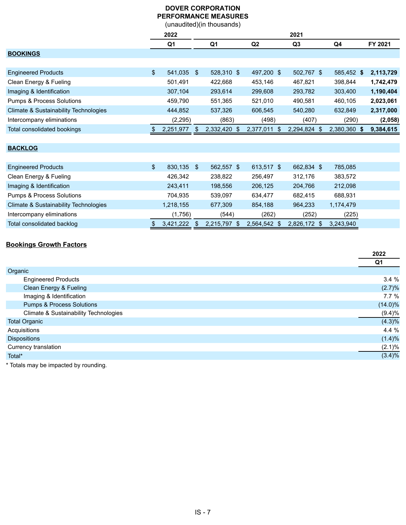## **DOVER CORPORATION PERFORMANCE MEASURES** (unaudited)(in thousands)

|                                       | 2022 |            |  | 2021           |                |                |              |           |  |  |  |
|---------------------------------------|------|------------|--|----------------|----------------|----------------|--------------|-----------|--|--|--|
|                                       |      | Q1         |  | Q <sub>1</sub> | Q <sub>2</sub> | Q <sub>3</sub> | Q4           | FY 2021   |  |  |  |
| <b>BOOKINGS</b>                       |      |            |  |                |                |                |              |           |  |  |  |
|                                       |      |            |  |                |                |                |              |           |  |  |  |
| <b>Engineered Products</b>            | \$   | 541,035 \$ |  | 528,310 \$     | 497,200 \$     | 502.767 \$     | 585,452 \$   | 2,113,729 |  |  |  |
| Clean Energy & Fueling                |      | 501,491    |  | 422,668        | 453,146        | 467,821        | 398,844      | 1,742,479 |  |  |  |
| Imaging & Identification              |      | 307,104    |  | 293,614        | 299,608        | 293,782        | 303,400      | 1,190,404 |  |  |  |
| <b>Pumps &amp; Process Solutions</b>  |      | 459.790    |  | 551.365        | 521.010        | 490.581        | 460,105      | 2,023,061 |  |  |  |
| Climate & Sustainability Technologies |      | 444,852    |  | 537,326        | 606,545        | 540,280        | 632,849      | 2,317,000 |  |  |  |
| Intercompany eliminations             |      | (2, 295)   |  | (863)          | (498)          | (407)          | (290)        | (2,058)   |  |  |  |
| Total consolidated bookings           |      | 2,251,977  |  | 2,332,420 \$   | 2,377,011 \$   | 2,294,824 \$   | 2,380,360 \$ | 9,384,615 |  |  |  |
|                                       |      |            |  |                |                |                |              |           |  |  |  |
|                                       |      |            |  |                |                |                |              |           |  |  |  |

# **BACKLOG**

| <b>Engineered Products</b>                       | 830.135   | \$. | 562.557 \$ | 613.517 \$ | 662.834 \$   | 785.085   |  |
|--------------------------------------------------|-----------|-----|------------|------------|--------------|-----------|--|
| Clean Energy & Fueling                           | 426.342   |     | 238.822    | 256.497    | 312.176      | 383,572   |  |
| Imaging & Identification                         | 243,411   |     | 198.556    | 206,125    | 204.766      | 212,098   |  |
| <b>Pumps &amp; Process Solutions</b>             | 704.935   |     | 539.097    | 634.477    | 682.415      | 688,931   |  |
| <b>Climate &amp; Sustainability Technologies</b> | 1,218,155 |     | 677.309    | 854.188    | 964.233      | 1,174,479 |  |
| Intercompany eliminations                        | (1,756)   |     | (544)      | (262)      | (252)        | (225)     |  |
| Total consolidated backlog                       | 3,421,222 |     | 2,215,797  | 2,564,542  | 2.826.172 \$ | 3,243,940 |  |

# **Bookings Growth Factors**

|                                       | 2022       |
|---------------------------------------|------------|
|                                       | Q1         |
| Organic                               |            |
| <b>Engineered Products</b>            | 3.4%       |
| Clean Energy & Fueling                | (2.7)%     |
| Imaging & Identification              | 7.7%       |
| <b>Pumps &amp; Process Solutions</b>  | $(14.0)\%$ |
| Climate & Sustainability Technologies | (9.4)%     |
| <b>Total Organic</b>                  | $(4.3)\%$  |
| Acquisitions                          | 4.4 %      |
| <b>Dispositions</b>                   | (1.4)%     |
| Currency translation                  | $(2.1)\%$  |
| Total*                                | $(3.4)\%$  |
|                                       |            |

Totals may be impacted by rounding.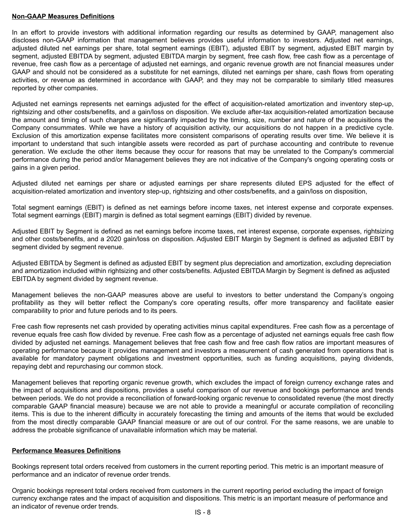#### **Non-GAAP Measures Definitions**

In an effort to provide investors with additional information regarding our results as determined by GAAP, management also discloses non-GAAP information that management believes provides useful information to investors. Adjusted net earnings, adjusted diluted net earnings per share, total segment earnings (EBIT), adjusted EBIT by segment, adjusted EBIT margin by segment, adjusted EBITDA by segment, adjusted EBITDA margin by segment, free cash flow, free cash flow as a percentage of revenue, free cash flow as a percentage of adjusted net earnings, and organic revenue growth are not financial measures under GAAP and should not be considered as a substitute for net earnings, diluted net earnings per share, cash flows from operating activities, or revenue as determined in accordance with GAAP, and they may not be comparable to similarly titled measures reported by other companies.

Adjusted net earnings represents net earnings adjusted for the effect of acquisition-related amortization and inventory step-up, rightsizing and other costs/benefits, and a gain/loss on disposition. We exclude after-tax acquisition-related amortization because the amount and timing of such charges are significantly impacted by the timing, size, number and nature of the acquisitions the Company consummates. While we have a history of acquisition activity, our acquisitions do not happen in a predictive cycle. Exclusion of this amortization expense facilitates more consistent comparisons of operating results over time. We believe it is important to understand that such intangible assets were recorded as part of purchase accounting and contribute to revenue generation. We exclude the other items because they occur for reasons that may be unrelated to the Company's commercial performance during the period and/or Management believes they are not indicative of the Company's ongoing operating costs or gains in a given period.

Adjusted diluted net earnings per share or adjusted earnings per share represents diluted EPS adjusted for the effect of acquisition-related amortization and inventory step-up, rightsizing and other costs/benefits, and a gain/loss on disposition,

Total segment earnings (EBIT) is defined as net earnings before income taxes, net interest expense and corporate expenses. Total segment earnings (EBIT) margin is defined as total segment earnings (EBIT) divided by revenue.

Adjusted EBIT by Segment is defined as net earnings before income taxes, net interest expense, corporate expenses, rightsizing and other costs/benefits, and a 2020 gain/loss on disposition. Adjusted EBIT Margin by Segment is defined as adjusted EBIT by segment divided by segment revenue.

Adjusted EBITDA by Segment is defined as adjusted EBIT by segment plus depreciation and amortization, excluding depreciation and amortization included within rightsizing and other costs/benefits. Adjusted EBITDA Margin by Segment is defined as adjusted EBITDA by segment divided by segment revenue.

Management believes the non-GAAP measures above are useful to investors to better understand the Company's ongoing profitability as they will better reflect the Company's core operating results, offer more transparency and facilitate easier comparability to prior and future periods and to its peers.

Free cash flow represents net cash provided by operating activities minus capital expenditures. Free cash flow as a percentage of revenue equals free cash flow divided by revenue. Free cash flow as a percentage of adjusted net earnings equals free cash flow divided by adjusted net earnings. Management believes that free cash flow and free cash flow ratios are important measures of operating performance because it provides management and investors a measurement of cash generated from operations that is available for mandatory payment obligations and investment opportunities, such as funding acquisitions, paying dividends, repaying debt and repurchasing our common stock.

Management believes that reporting organic revenue growth, which excludes the impact of foreign currency exchange rates and the impact of acquisitions and dispositions, provides a useful comparison of our revenue and bookings performance and trends between periods. We do not provide a reconciliation of forward-looking organic revenue to consolidated revenue (the most directly comparable GAAP financial measure) because we are not able to provide a meaningful or accurate compilation of reconciling items. This is due to the inherent difficulty in accurately forecasting the timing and amounts of the items that would be excluded from the most directly comparable GAAP financial measure or are out of our control. For the same reasons, we are unable to address the probable significance of unavailable information which may be material.

## **Performance Measures Definitions**

Bookings represent total orders received from customers in the current reporting period. This metric is an important measure of performance and an indicator of revenue order trends.

Organic bookings represent total orders received from customers in the current reporting period excluding the impact of foreign currency exchange rates and the impact of acquisition and dispositions. This metric is an important measure of performance and an indicator of revenue order trends.